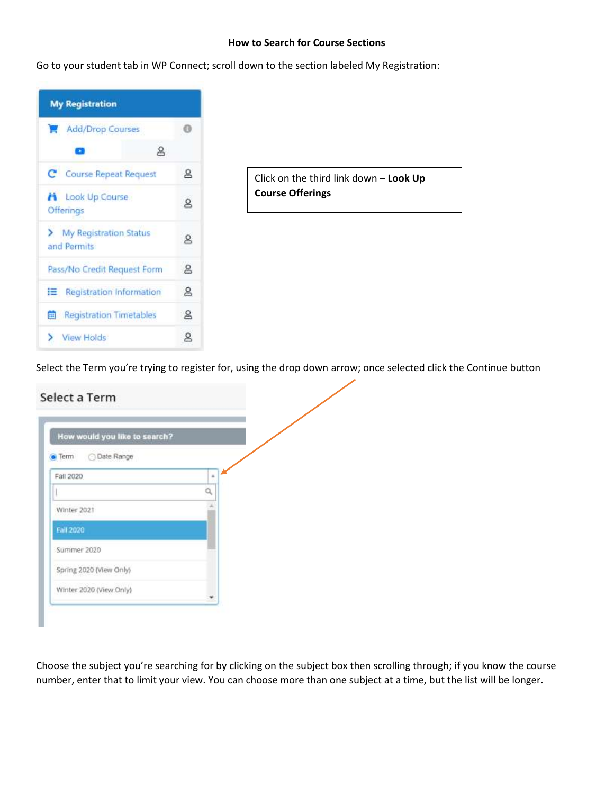## **How to Search for Course Sections**

Go to your student tab in WP Connect; scroll down to the section labeled My Registration:



Select the Term you're trying to register for, using the drop down arrow; once selected click the Continue button

| How would you like to search?       |              |
|-------------------------------------|--------------|
| <b>Date Range</b><br>$\bullet$ Term |              |
| Fail 2020                           | $\mathbf{z}$ |
|                                     | ä            |
| Winter 2021                         |              |
| <b>Eall 2020</b>                    |              |
| Summer 2020                         |              |
| Spring 2020 (View Only)             |              |
| Winter 2020 (View Only)             |              |

Choose the subject you're searching for by clicking on the subject box then scrolling through; if you know the course number, enter that to limit your view. You can choose more than one subject at a time, but the list will be longer.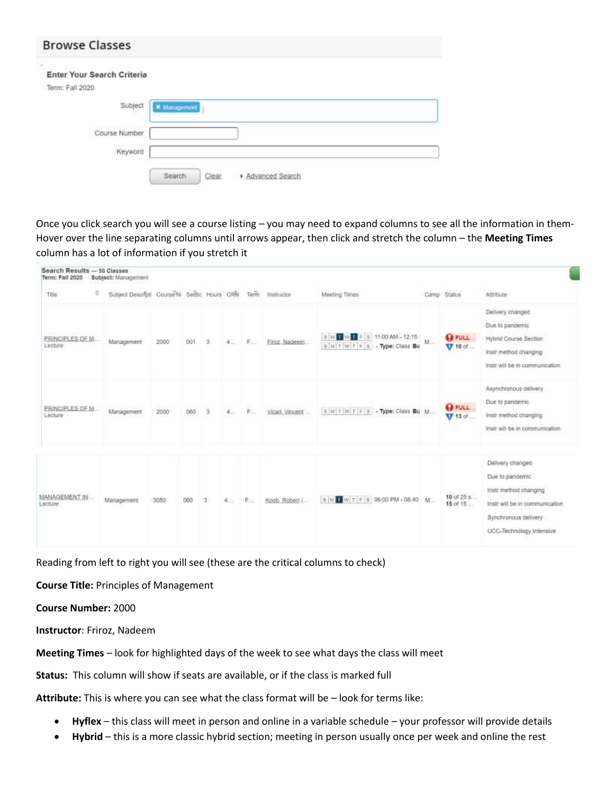| <b>Browse Classes</b>                                                        |                                    |
|------------------------------------------------------------------------------|------------------------------------|
| ×<br>stated and the most in<br>Enter Your Search Criteria<br>Term: Fall 2020 |                                    |
| Subject                                                                      | <b>×</b> Management                |
| Course Number<br>Keyword                                                     |                                    |
|                                                                              | Search<br>Advanced Search<br>Clear |

Once you click search you will see a course listing – you may need to expand columns to see all the information in them-Hover over the line separating columns until arrows appear, then click and stretch the column – the **Meeting Times** column has a lot of information if you stretch it

| Search Results - 50 Classes<br>Term: Fall 2020 | Subject: Management                          |      |     |   |     |    |                 |                                                              |       |                               |                                                                                                                                                    |
|------------------------------------------------|----------------------------------------------|------|-----|---|-----|----|-----------------|--------------------------------------------------------------|-------|-------------------------------|----------------------------------------------------------------------------------------------------------------------------------------------------|
| ٥<br>Title                                     | Subject Descripti Course'N Section Hours CRR |      |     |   |     |    | Term Instructor | Meeting Times                                                |       | Camp Status                   | Attribute                                                                                                                                          |
| 3235110441220<br>PRINCIPLES OF M.<br>Lecture   | Management                                   | 2000 | COT | 医 | 4.0 | τ  | Firoz, Nadeem   | S M L W L F S 11:00 AM - 12:15<br>SMITWITFS - Type: Class Bu | $M =$ | <b>O</b> FULL<br>$V$ 10 of $$ | Delivery changed<br>Due to pandemic<br>Hybrid Course Section<br>Instr method changing<br>Instr will be in communication.                           |
| PRINCIPLES OF M.<br>Lecture                    | Management                                   | 2000 | 060 | 生 | 4.1 | F. | Vicari, Vincent | SMTWTFS - Type: Class Bu M                                   |       | <b>OFULL</b><br>$V 13$ of     | Asynchronous delivery<br>Due to pandemic<br>Instr method changing<br>Instr will be in communication.                                               |
| MANAGEMENT IN<br>Lecture                       | Management                                   | 3050 | 060 | э | 4   | F. | Koob, Robert (  | SM T W.T.F.S. 06:00 PM - 08:40 M.                            |       | $10$ of $25$ s<br>15 of 15.   | Delivery changed<br>Due to pandemic<br>Instr method changing<br>Instr will be in communication<br>Synchronous delivery<br>UCC-Technology Intensive |

Reading from left to right you will see (these are the critical columns to check)

**Course Title:** Principles of Management

## **Course Number:** 2000

**Instructor**: Friroz, Nadeem

**Meeting Times** – look for highlighted days of the week to see what days the class will meet

**Status:** This column will show if seats are available, or if the class is marked full

**Attribute:** This is where you can see what the class format will be – look for terms like:

- **Hyflex** this class will meet in person and online in a variable schedule your professor will provide details
- **Hybrid** this is a more classic hybrid section; meeting in person usually once per week and online the rest